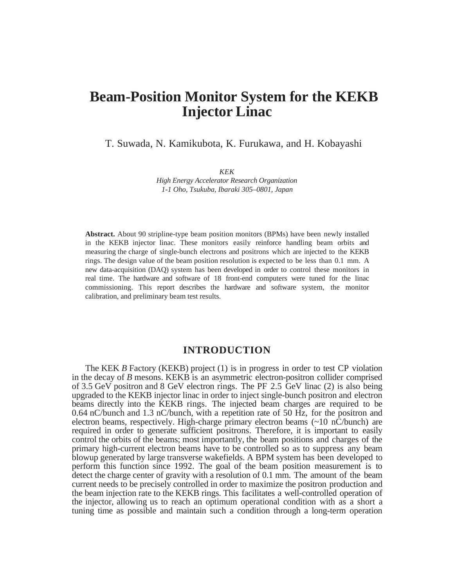# **Beam-Position Monitor System for the KEKB Injector Linac**

T. Suwada, N. Kamikubota, K. Furukawa, and H. Kobayashi

*KEK*

*High Energy Accelerator Research Organization 1-1 Oho, Tsukuba, Ibaraki 305–0801, Japan*

**Abstract.** About 90 stripline-type beam position monitors (BPMs) have been newly installed in the KEKB injector linac. These monitors easily reinforce handling beam orbits and measuring the charge of single-bunch electrons and positrons which are injected to the KEKB rings. The design value of the beam position resolution is expected to be less than 0.1 mm. A new data-acquisition (DAQ) system has been developed in order to control these monitors in real time. The hardware and software of 18 front-end computers were tuned for the linac commissioning. This report describes the hardware and software system, the monitor calibration, and preliminary beam test results.

## **INTRODUCTION**

The KEK *B* Factory (KEKB) project (1) is in progress in order to test CP violation in the decay of *B* mesons. KEKB is an asymmetric electron-positron collider comprised of 3.5 GeV positron and 8 GeV electron rings. The PF 2.5 GeV linac (2) is also being upgraded to the KEKB injector linac in order to inject single-bunch positron and electron beams directly into the KEKB rings. The injected beam charges are required to be 0.64 nC/bunch and 1.3 nC/bunch, with a repetition rate of 50 Hz, for the positron and electron beams, respectively. High-charge primary electron beams  $(\sim 10 \text{ nC/bunch})$  are required in order to generate sufficient positrons. Therefore, it is important to easily control the orbits of the beams; most importantly, the beam positions and charges of the primary high-current electron beams have to be controlled so as to suppress any beam blowup generated by large transverse wakefields. A BPM system has been developed to perform this function since 1992. The goal of the beam position measurement is to detect the charge center of gravity with a resolution of 0.1 mm. The amount of the beam current needs to be precisely controlled in order to maximize the positron production and the beam injection rate to the KEKB rings. This facilitates a well-controlled operation of the injector, allowing us to reach an optimum operational condition with as a short a tuning time as possible and maintain such a condition through a long-term operation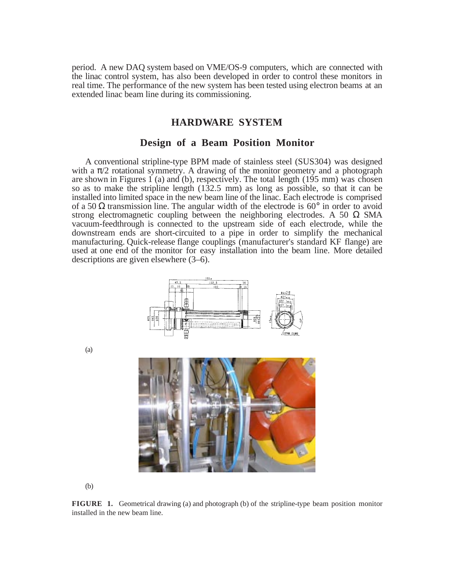period. A new DAQ system based on VME/OS-9 computers, which are connected with the linac control system, has also been developed in order to control these monitors in real time. The performance of the new system has been tested using electron beams at an extended linac beam line during its commissioning.

# **HARDWARE SYSTEM**

#### **Design of a Beam Position Monitor**

A conventional stripline-type BPM made of stainless steel (SUS304) was designed with a  $\pi/2$  rotational symmetry. A drawing of the monitor geometry and a photograph are shown in Figures 1 (a) and (b), respectively. The total length (195 mm) was chosen so as to make the stripline length (132.5 mm) as long as possible, so that it can be installed into limited space in the new beam line of the linac. Each electrode is comprised of a 50  $\Omega$  transmission line. The angular width of the electrode is 60 $^{\circ}$  in order to avoid strong electromagnetic coupling between the neighboring electrodes. A 50  $\Omega$  SMA vacuum-feedthrough is connected to the upstream side of each electrode, while the downstream ends are short-circuited to a pipe in order to simplify the mechanical manufacturing. Quick-release flange couplings (manufacturer's standard KF flange) are used at one end of the monitor for easy installation into the beam line. More detailed descriptions are given elsewhere (3–6).





(b)

**FIGURE 1.** Geometrical drawing (a) and photograph (b) of the stripline-type beam position monitor installed in the new beam line.

(a)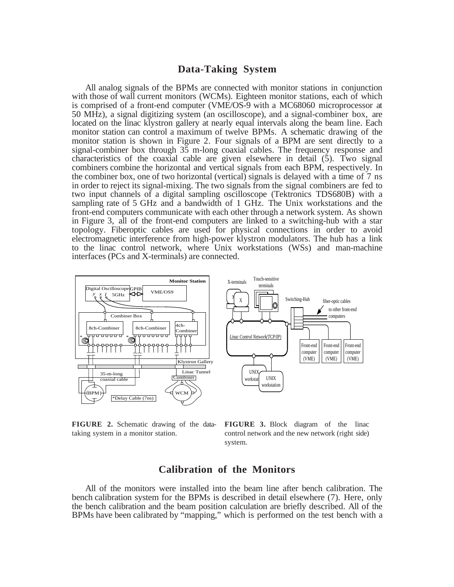## **Data-Taking System**

All analog signals of the BPMs are connected with monitor stations in conjunction with those of wall current monitors (WCMs). Eighteen monitor stations, each of which is comprised of a front-end computer (VME/OS-9 with a MC68060 microprocessor at 50 MHz), a signal digitizing system (an oscilloscope), and a signal-combiner box, are located on the linac klystron gallery at nearly equal intervals along the beam line. Each monitor station can control a maximum of twelve BPMs. A schematic drawing of the monitor station is shown in Figure 2. Four signals of a BPM are sent directly to a signal-combiner box through 35 m-long coaxial cables. The frequency response and characteristics of the coaxial cable are given elsewhere in detail (5). Two signal combiners combine the horizontal and vertical signals from each BPM, respectively. In the combiner box, one of two horizontal (vertical) signals is delayed with a time of 7 ns in order to reject its signal-mixing. The two signals from the signal combiners are fed to two input channels of a digital sampling oscilloscope (Tektronics TDS680B) with a sampling rate of 5 GHz and a bandwidth of 1 GHz. The Unix workstations and the front-end computers communicate with each other through a network system. As shown in Figure 3, all of the front-end computers are linked to a switching-hub with a star topology. Fiberoptic cables are used for physical connections in order to avoid electromagnetic interference from high-power klystron modulators. The hub has a link to the linac control network, where Unix workstations (WSs) and man-machine interfaces (PCs and X-terminals) are connected.



**FIGURE 2.** Schematic drawing of the datataking system in a monitor station.

**FIGURE 3.** Block diagram of the linac control network and the new network (right side) system.

## **Calibration of the Monitors**

All of the monitors were installed into the beam line after bench calibration. The bench calibration system for the BPMs is described in detail elsewhere (7). Here, only the bench calibration and the beam position calculation are briefly described. All of the BPMs have been calibrated by "mapping," which is performed on the test bench with a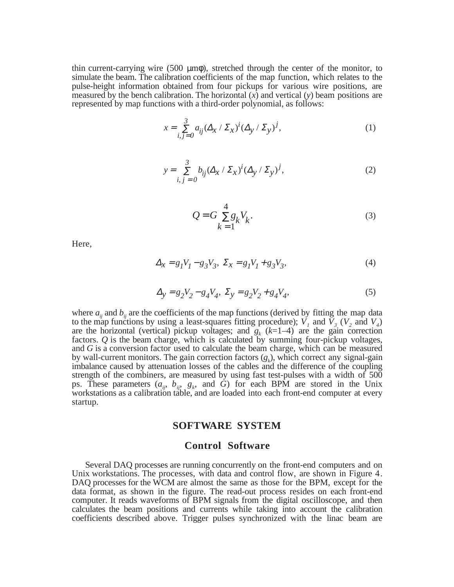thin current-carrying wire  $(500 \mu m\phi)$ , stretched through the center of the monitor, to simulate the beam. The calibration coefficients of the map function, which relates to the pulse-height information obtained from four pickups for various wire positions, are measured by the bench calibration. The horizontal (*x*) and vertical (*y*) beam positions are represented by map functions with a third-order polynomial, as follows:

$$
x = \sum_{i,j=0}^{3} a_{ij} (\Delta_x / \Sigma_x)^i (\Delta_y / \Sigma_y)^j,
$$
 (1)

$$
y = \sum_{i,j=0}^{3} b_{ij} (\Delta_X / \Sigma_X)^i (\Delta_y / \Sigma_y)^j,
$$
 (2)

$$
Q = G \sum_{k=1}^{4} g_k V_k.
$$
\n(3)

Here,

$$
\Delta_x = g_I V_I - g_3 V_3, \ \Sigma_x = g_I V_I + g_3 V_3,\tag{4}
$$

$$
\Delta_y = g_2 V_2 - g_4 V_4, \ \Sigma_y = g_2 V_2 + g_4 V_4,\tag{5}
$$

where  $a_{ij}$  and  $b_{ij}$  are the coefficients of the map functions (derived by fitting the map data to the map functions by using a least-squares fitting procedure);  $V_1$  and  $\overline{V}_3$  ( $V_2$  and  $V_4$ ) are the horizontal (vertical) pickup voltages; and  $g_k$  ( $k=1-4$ ) are the gain correction factors. *Q* is the beam charge, which is calculated by summing four-pickup voltages, and *G* is a conversion factor used to calculate the beam charge, which can be measured by wall-current monitors. The gain correction factors  $(g_k)$ , which correct any signal-gain imbalance caused by attenuation losses of the cables and the difference of the coupling strength of the combiners, are measured by using fast test-pulses with a width of 500 ps. These parameters  $(a_{ij}, b_{ij}, g_k, \text{ and } \tilde{G})$  for each BPM are stored in the Unix workstations as a calibration table, and are loaded into each front-end computer at every startup.

# **SOFTWARE SYSTEM**

#### **Control Software**

Several DAQ processes are running concurrently on the front-end computers and on Unix workstations. The processes, with data and control flow, are shown in Figure 4. DAQ processes for the WCM are almost the same as those for the BPM, except for the data format, as shown in the figure. The read-out process resides on each front-end computer. It reads waveforms of BPM signals from the digital oscilloscope, and then calculates the beam positions and currents while taking into account the calibration coefficients described above. Trigger pulses synchronized with the linac beam are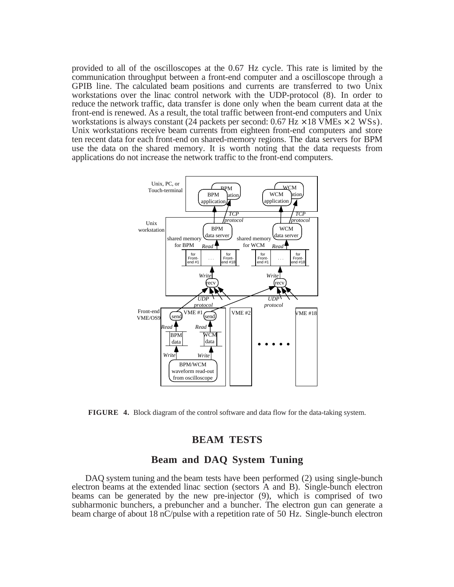provided to all of the oscilloscopes at the 0.67 Hz cycle. This rate is limited by the communication throughput between a front-end computer and a oscilloscope through a GPIB line. The calculated beam positions and currents are transferred to two Unix workstations over the linac control network with the UDP-protocol (8). In order to reduce the network traffic, data transfer is done only when the beam current data at the front-end is renewed. As a result, the total traffic between front-end computers and Unix workstations is always constant (24 packets per second:  $0.67 \text{ Hz} \times 18 \text{ VMEs} \times 2 \text{ WSS}$ ). Unix workstations receive beam currents from eighteen front-end computers and store ten recent data for each front-end on shared-memory regions. The data servers for BPM use the data on the shared memory. It is worth noting that the data requests from applications do not increase the network traffic to the front-end computers.



**FIGURE 4.** Block diagram of the control software and data flow for the data-taking system.

## **BEAM TESTS**

## **Beam and DAQ System Tuning**

DAQ system tuning and the beam tests have been performed (2) using single-bunch electron beams at the extended linac section (sectors A and B). Single-bunch electron beams can be generated by the new pre-injector (9), which is comprised of two subharmonic bunchers, a prebuncher and a buncher. The electron gun can generate a beam charge of about 18 nC/pulse with a repetition rate of 50 Hz. Single-bunch electron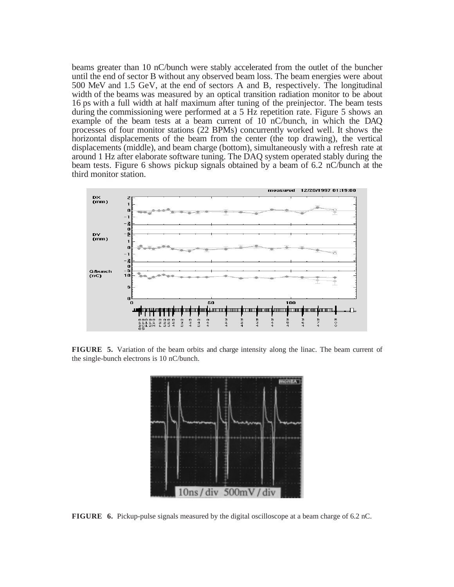beams greater than 10 nC/bunch were stably accelerated from the outlet of the buncher until the end of sector B without any observed beam loss. The beam energies were about 500 MeV and 1.5 GeV, at the end of sectors A and B, respectively. The longitudinal width of the beams was measured by an optical transition radiation monitor to be about 16 ps with a full width at half maximum after tuning of the preinjector. The beam tests during the commissioning were performed at a 5 Hz repetition rate. Figure 5 shows an example of the beam tests at a beam current of 10 nC/bunch, in which the DAQ processes of four monitor stations (22 BPMs) concurrently worked well. It shows the horizontal displacements of the beam from the center (the top drawing), the vertical displacements (middle), and beam charge (bottom), simultaneously with a refresh rate at around 1 Hz after elaborate software tuning. The DAQ system operated stably during the beam tests. Figure 6 shows pickup signals obtained by a beam of 6.2 nC/bunch at the third monitor station.



**FIGURE 5.** Variation of the beam orbits and charge intensity along the linac. The beam current of the single-bunch electrons is 10 nC/bunch.



**FIGURE 6.** Pickup-pulse signals measured by the digital oscilloscope at a beam charge of 6.2 nC.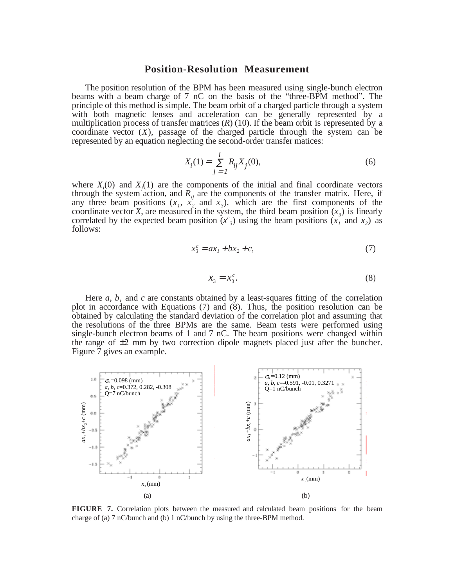#### **Position-Resolution Measurement**

The position resolution of the BPM has been measured using single-bunch electron beams with a beam charge of 7 nC on the basis of the "three-BPM method". The principle of this method is simple. The beam orbit of a charged particle through a system with both magnetic lenses and acceleration can be generally represented by a multiplication process of transfer matrices (*R*) (10). If the beam orbit is represented by a coordinate vector (*X*), passage of the charged particle through the system can be represented by an equation neglecting the second-order transfer matices:

$$
X_i(1) = \sum_{j=1}^{i} R_{ij} X_j(0),
$$
\n(6)

where  $X_i(0)$  and  $X_j(1)$  are the components of the initial and final coordinate vectors through the system action, and  $R_{ii}$  are the components of the transfer matrix. Here, if any three beam positions  $(x_1, x_2)$  and  $x_3$ ), which are the first components of the coordinate vector *X*, are measured in the system, the third beam position  $(x_3)$  is linearly correlated by the expected beam position  $(x^c)$  using the beam positions  $(x^r)$  and  $x^2$  as follows:

$$
x_3^c = ax_1 + bx_2 + c,\tag{7}
$$

$$
x_3 = x_3^c. \tag{8}
$$

Here *a*, *b*, and *c* are constants obtained by a least-squares fitting of the correlation plot in accordance with Equations (7) and (8). Thus, the position resolution can be obtained by calculating the standard deviation of the correlation plot and assuming that the resolutions of the three BPMs are the same. Beam tests were performed using single-bunch electron beams of 1 and 7 nC. The beam positions were changed within the range of  $\pm 2$  mm by two correction dipole magnets placed just after the buncher. Figure 7 gives an example.



**FIGURE 7.** Correlation plots between the measured and calculated beam positions for the beam charge of (a) 7 nC/bunch and (b) 1 nC/bunch by using the three-BPM method.